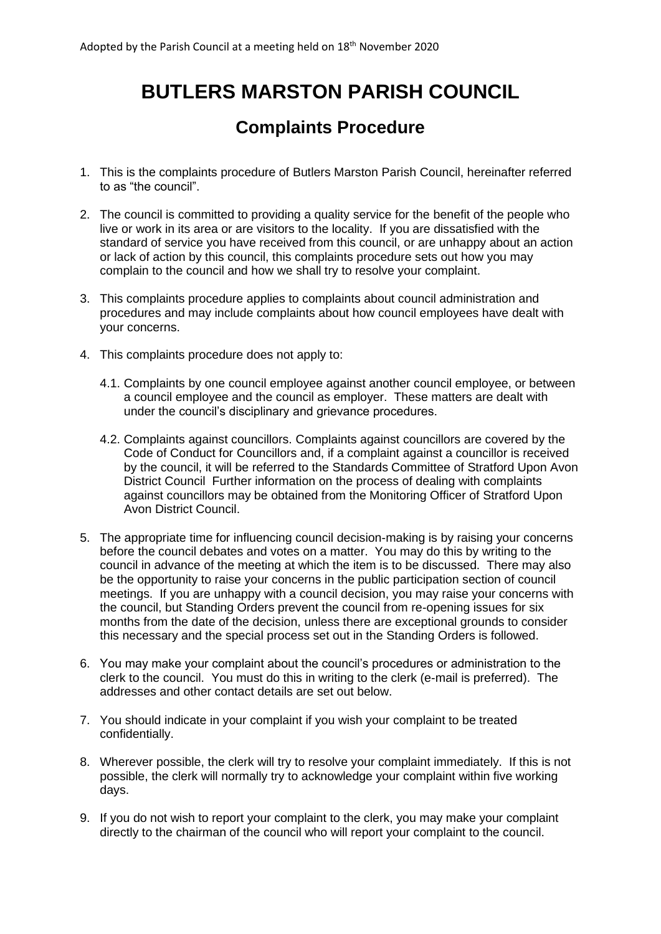## **BUTLERS MARSTON PARISH COUNCIL**

## **Complaints Procedure**

- 1. This is the complaints procedure of Butlers Marston Parish Council, hereinafter referred to as "the council".
- 2. The council is committed to providing a quality service for the benefit of the people who live or work in its area or are visitors to the locality. If you are dissatisfied with the standard of service you have received from this council, or are unhappy about an action or lack of action by this council, this complaints procedure sets out how you may complain to the council and how we shall try to resolve your complaint.
- 3. This complaints procedure applies to complaints about council administration and procedures and may include complaints about how council employees have dealt with your concerns.
- 4. This complaints procedure does not apply to:
	- 4.1. Complaints by one council employee against another council employee, or between a council employee and the council as employer. These matters are dealt with under the council's disciplinary and grievance procedures.
	- 4.2. Complaints against councillors. Complaints against councillors are covered by the Code of Conduct for Councillors and, if a complaint against a councillor is received by the council, it will be referred to the Standards Committee of Stratford Upon Avon District Council Further information on the process of dealing with complaints against councillors may be obtained from the Monitoring Officer of Stratford Upon Avon District Council.
- 5. The appropriate time for influencing council decision-making is by raising your concerns before the council debates and votes on a matter. You may do this by writing to the council in advance of the meeting at which the item is to be discussed. There may also be the opportunity to raise your concerns in the public participation section of council meetings. If you are unhappy with a council decision, you may raise your concerns with the council, but Standing Orders prevent the council from re-opening issues for six months from the date of the decision, unless there are exceptional grounds to consider this necessary and the special process set out in the Standing Orders is followed.
- 6. You may make your complaint about the council's procedures or administration to the clerk to the council. You must do this in writing to the clerk (e-mail is preferred). The addresses and other contact details are set out below.
- 7. You should indicate in your complaint if you wish your complaint to be treated confidentially.
- 8. Wherever possible, the clerk will try to resolve your complaint immediately. If this is not possible, the clerk will normally try to acknowledge your complaint within five working days.
- 9. If you do not wish to report your complaint to the clerk, you may make your complaint directly to the chairman of the council who will report your complaint to the council.